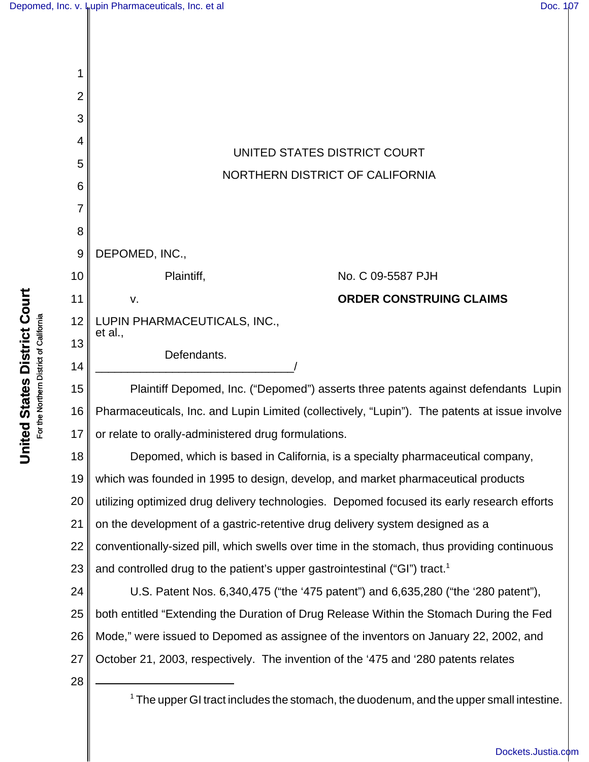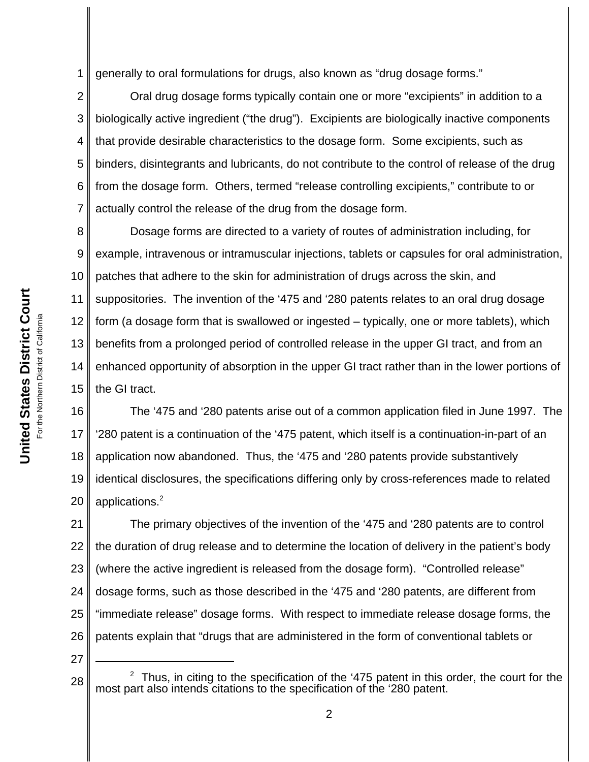1 generally to oral formulations for drugs, also known as "drug dosage forms."

2 3 4 5 6 7 Oral drug dosage forms typically contain one or more "excipients" in addition to a biologically active ingredient ("the drug"). Excipients are biologically inactive components that provide desirable characteristics to the dosage form. Some excipients, such as binders, disintegrants and lubricants, do not contribute to the control of release of the drug from the dosage form. Others, termed "release controlling excipients," contribute to or actually control the release of the drug from the dosage form.

8 9 10 11 12 13 14 15 Dosage forms are directed to a variety of routes of administration including, for example, intravenous or intramuscular injections, tablets or capsules for oral administration, patches that adhere to the skin for administration of drugs across the skin, and suppositories. The invention of the '475 and '280 patents relates to an oral drug dosage form (a dosage form that is swallowed or ingested – typically, one or more tablets), which benefits from a prolonged period of controlled release in the upper GI tract, and from an enhanced opportunity of absorption in the upper GI tract rather than in the lower portions of the GI tract.

16 17 18 19 20 The '475 and '280 patents arise out of a common application filed in June 1997. The '280 patent is a continuation of the '475 patent, which itself is a continuation-in-part of an application now abandoned. Thus, the '475 and '280 patents provide substantively identical disclosures, the specifications differing only by cross-references made to related applications.<sup>2</sup>

21 22 23 24 25 26 The primary objectives of the invention of the '475 and '280 patents are to control the duration of drug release and to determine the location of delivery in the patient's body (where the active ingredient is released from the dosage form). "Controlled release" dosage forms, such as those described in the '475 and '280 patents, are different from "immediate release" dosage forms. With respect to immediate release dosage forms, the patents explain that "drugs that are administered in the form of conventional tablets or

<sup>28</sup>  $2$  Thus, in citing to the specification of the '475 patent in this order, the court for the most part also intends citations to the specification of the '280 patent.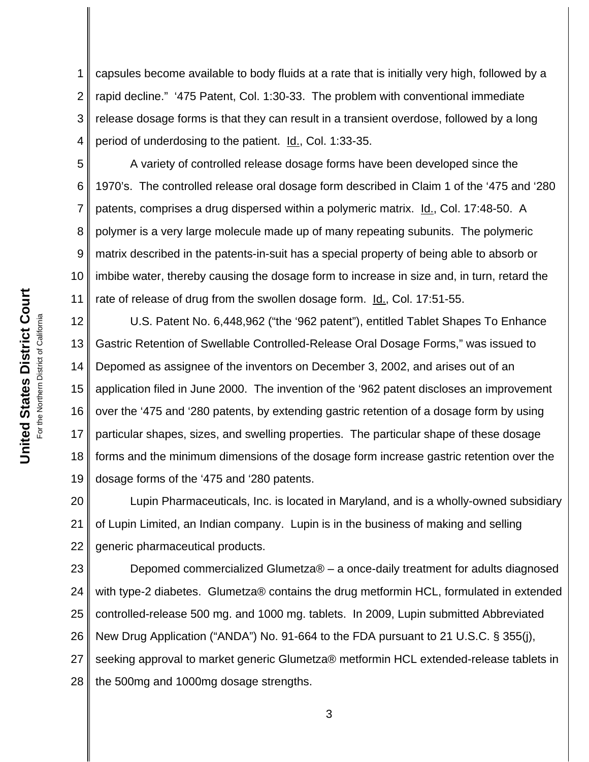1 2 3 4 capsules become available to body fluids at a rate that is initially very high, followed by a rapid decline." '475 Patent, Col. 1:30-33. The problem with conventional immediate release dosage forms is that they can result in a transient overdose, followed by a long period of underdosing to the patient. **Id., Col. 1:33-35.** 

5 6 7 8 9 10 11 A variety of controlled release dosage forms have been developed since the 1970's. The controlled release oral dosage form described in Claim 1 of the '475 and '280 patents, comprises a drug dispersed within a polymeric matrix. Id., Col. 17:48-50. A polymer is a very large molecule made up of many repeating subunits. The polymeric matrix described in the patents-in-suit has a special property of being able to absorb or imbibe water, thereby causing the dosage form to increase in size and, in turn, retard the rate of release of drug from the swollen dosage form. Id., Col. 17:51-55.

12 13 14 15 16 17 18 19 U.S. Patent No. 6,448,962 ("the '962 patent"), entitled Tablet Shapes To Enhance Gastric Retention of Swellable Controlled-Release Oral Dosage Forms," was issued to Depomed as assignee of the inventors on December 3, 2002, and arises out of an application filed in June 2000. The invention of the '962 patent discloses an improvement over the '475 and '280 patents, by extending gastric retention of a dosage form by using particular shapes, sizes, and swelling properties. The particular shape of these dosage forms and the minimum dimensions of the dosage form increase gastric retention over the dosage forms of the '475 and '280 patents.

20 21 22 Lupin Pharmaceuticals, Inc. is located in Maryland, and is a wholly-owned subsidiary of Lupin Limited, an Indian company. Lupin is in the business of making and selling generic pharmaceutical products.

23 24 25 26 27 28 Depomed commercialized Glumetza® – a once-daily treatment for adults diagnosed with type-2 diabetes. Glumetza® contains the drug metformin HCL, formulated in extended controlled-release 500 mg. and 1000 mg. tablets. In 2009, Lupin submitted Abbreviated New Drug Application ("ANDA") No. 91-664 to the FDA pursuant to 21 U.S.C. § 355(j), seeking approval to market generic Glumetza® metformin HCL extended-release tablets in the 500mg and 1000mg dosage strengths.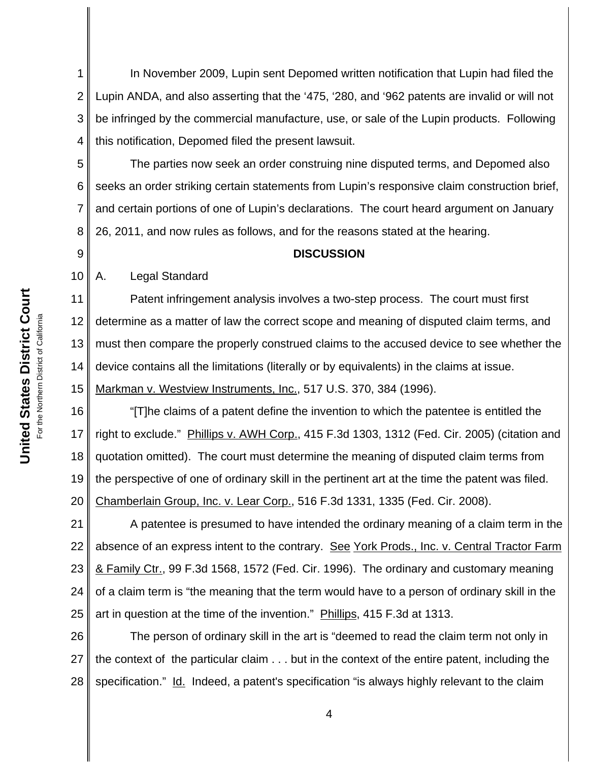1 2 3 4 In November 2009, Lupin sent Depomed written notification that Lupin had filed the Lupin ANDA, and also asserting that the '475, '280, and '962 patents are invalid or will not be infringed by the commercial manufacture, use, or sale of the Lupin products. Following this notification, Depomed filed the present lawsuit.

5 6 7 8 The parties now seek an order construing nine disputed terms, and Depomed also seeks an order striking certain statements from Lupin's responsive claim construction brief, and certain portions of one of Lupin's declarations. The court heard argument on January 26, 2011, and now rules as follows, and for the reasons stated at the hearing.

## **DISCUSSION**

10 A. Legal Standard

9

11 12 13 14 15 Patent infringement analysis involves a two-step process. The court must first determine as a matter of law the correct scope and meaning of disputed claim terms, and must then compare the properly construed claims to the accused device to see whether the device contains all the limitations (literally or by equivalents) in the claims at issue. Markman v. Westview Instruments, Inc., 517 U.S. 370, 384 (1996).

16 17 18 19 20 "[T]he claims of a patent define the invention to which the patentee is entitled the right to exclude." Phillips v. AWH Corp., 415 F.3d 1303, 1312 (Fed. Cir. 2005) (citation and quotation omitted). The court must determine the meaning of disputed claim terms from the perspective of one of ordinary skill in the pertinent art at the time the patent was filed. Chamberlain Group, Inc. v. Lear Corp., 516 F.3d 1331, 1335 (Fed. Cir. 2008).

21 22 23 24 25 A patentee is presumed to have intended the ordinary meaning of a claim term in the absence of an express intent to the contrary. See York Prods., Inc. v. Central Tractor Farm & Family Ctr., 99 F.3d 1568, 1572 (Fed. Cir. 1996). The ordinary and customary meaning of a claim term is "the meaning that the term would have to a person of ordinary skill in the art in question at the time of the invention." Phillips, 415 F.3d at 1313.

26 27 28 The person of ordinary skill in the art is "deemed to read the claim term not only in the context of the particular claim . . . but in the context of the entire patent, including the specification." Id. Indeed, a patent's specification "is always highly relevant to the claim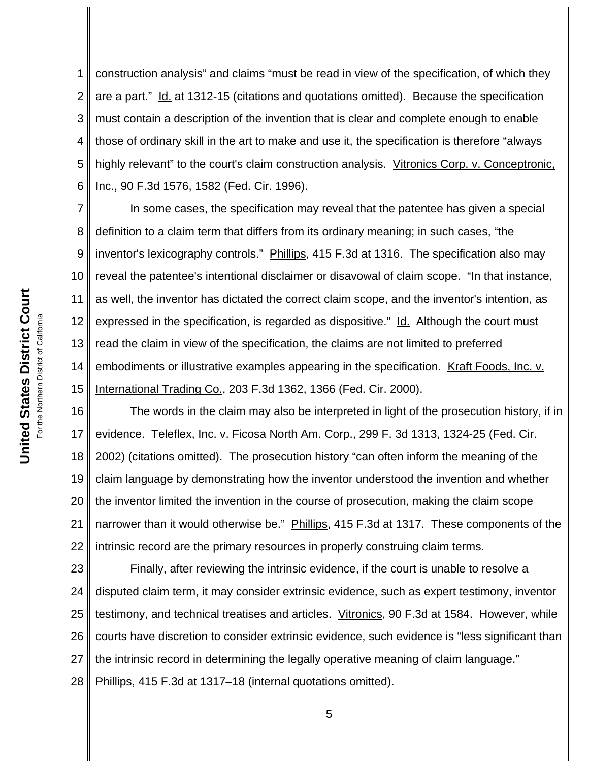1 2 3 4 5 6 construction analysis" and claims "must be read in view of the specification, of which they are a part." Id. at 1312-15 (citations and quotations omitted). Because the specification must contain a description of the invention that is clear and complete enough to enable those of ordinary skill in the art to make and use it, the specification is therefore "always highly relevant" to the court's claim construction analysis. Vitronics Corp. v. Conceptronic, Inc., 90 F.3d 1576, 1582 (Fed. Cir. 1996).

7 8 9 10 11 12 13 14 15 In some cases, the specification may reveal that the patentee has given a special definition to a claim term that differs from its ordinary meaning; in such cases, "the inventor's lexicography controls." Phillips, 415 F.3d at 1316. The specification also may reveal the patentee's intentional disclaimer or disavowal of claim scope. "In that instance, as well, the inventor has dictated the correct claim scope, and the inventor's intention, as expressed in the specification, is regarded as dispositive." Id. Although the court must read the claim in view of the specification, the claims are not limited to preferred embodiments or illustrative examples appearing in the specification. Kraft Foods, Inc. v. International Trading Co., 203 F.3d 1362, 1366 (Fed. Cir. 2000).

16 17 18 19 20 21 22 The words in the claim may also be interpreted in light of the prosecution history, if in evidence. Teleflex, Inc. v. Ficosa North Am. Corp., 299 F. 3d 1313, 1324-25 (Fed. Cir. 2002) (citations omitted). The prosecution history "can often inform the meaning of the claim language by demonstrating how the inventor understood the invention and whether the inventor limited the invention in the course of prosecution, making the claim scope narrower than it would otherwise be." Phillips, 415 F.3d at 1317. These components of the intrinsic record are the primary resources in properly construing claim terms.

23 24 25 26 27 28 Finally, after reviewing the intrinsic evidence, if the court is unable to resolve a disputed claim term, it may consider extrinsic evidence, such as expert testimony, inventor testimony, and technical treatises and articles. Vitronics, 90 F.3d at 1584. However, while courts have discretion to consider extrinsic evidence, such evidence is "less significant than the intrinsic record in determining the legally operative meaning of claim language." Phillips, 415 F.3d at 1317–18 (internal quotations omitted).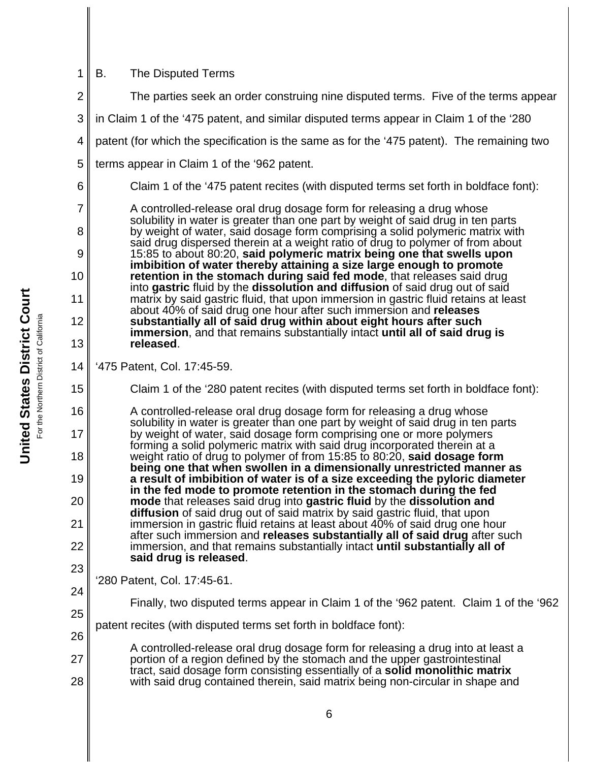| 1        | <b>B.</b><br>The Disputed Terms                                                                                                                                                                                                            |
|----------|--------------------------------------------------------------------------------------------------------------------------------------------------------------------------------------------------------------------------------------------|
| 2        | The parties seek an order construing nine disputed terms. Five of the terms appear                                                                                                                                                         |
| 3        | in Claim 1 of the '475 patent, and similar disputed terms appear in Claim 1 of the '280                                                                                                                                                    |
| 4        | patent (for which the specification is the same as for the '475 patent). The remaining two                                                                                                                                                 |
| 5        | terms appear in Claim 1 of the '962 patent.                                                                                                                                                                                                |
| 6        | Claim 1 of the '475 patent recites (with disputed terms set forth in boldface font):                                                                                                                                                       |
| 7<br>8   | A controlled-release oral drug dosage form for releasing a drug whose<br>solubility in water is greater than one part by weight of said drug in ten parts<br>by weight of water, said dosage form comprising a solid polymeric matrix with |
| 9        | said drug dispersed therein at a weight ratio of drug to polymer of from about<br>15:85 to about 80:20, said polymeric matrix being one that swells upon                                                                                   |
| 10       | imbibition of water thereby attaining a size large enough to promote<br>retention in the stomach during said fed mode, that releases said drug<br>into gastric fluid by the dissolution and diffusion of said drug out of said             |
| 11       | matrix by said gastric fluid, that upon immersion in gastric fluid retains at least<br>about 40% of said drug one hour after such immersion and releases                                                                                   |
| 12       | substantially all of said drug within about eight hours after such<br><b>immersion</b> , and that remains substantially intact <b>until all of said drug is</b>                                                                            |
| 13       | released.                                                                                                                                                                                                                                  |
| 14       | '475 Patent, Col. 17:45-59.                                                                                                                                                                                                                |
| 15       | Claim 1 of the '280 patent recites (with disputed terms set forth in boldface font):                                                                                                                                                       |
| 16       | A controlled-release oral drug dosage form for releasing a drug whose<br>solubility in water is greater than one part by weight of said drug in ten parts                                                                                  |
| 17       | by weight of water, said dosage form comprising one or more polymers<br>forming a solid polymeric matrix with said drug incorporated therein at a                                                                                          |
| 18       | weight ratio of drug to polymer of from 15:85 to 80:20, said dosage form<br>being one that when swollen in a dimensionally unrestricted manner as                                                                                          |
| 19       | a result of imbibition of water is of a size exceeding the pyloric diameter<br>in the fed mode to promote retention in the stomach during the fed                                                                                          |
| 20       | mode that releases said drug into gastric fluid by the dissolution and<br>diffusion of said drug out of said matrix by said gastric fluid, that upon                                                                                       |
| 21       | immersion in gastric fluid retains at least about 40% of said drug one hour<br>after such immersion and releases substantially all of said drug after such                                                                                 |
| 22       | immersion, and that remains substantially intact until substantially all of<br>said drug is released.                                                                                                                                      |
| 23       | '280 Patent, Col. 17:45-61.                                                                                                                                                                                                                |
| 24       | Finally, two disputed terms appear in Claim 1 of the '962 patent. Claim 1 of the '962                                                                                                                                                      |
| 25<br>26 | patent recites (with disputed terms set forth in boldface font):                                                                                                                                                                           |
| 27       | A controlled-release oral drug dosage form for releasing a drug into at least a<br>portion of a region defined by the stomach and the upper gastrointestinal                                                                               |
| 28       | tract, said dosage form consisting essentially of a <b>solid monolithic matrix</b><br>with said drug contained therein, said matrix being non-circular in shape and                                                                        |
|          |                                                                                                                                                                                                                                            |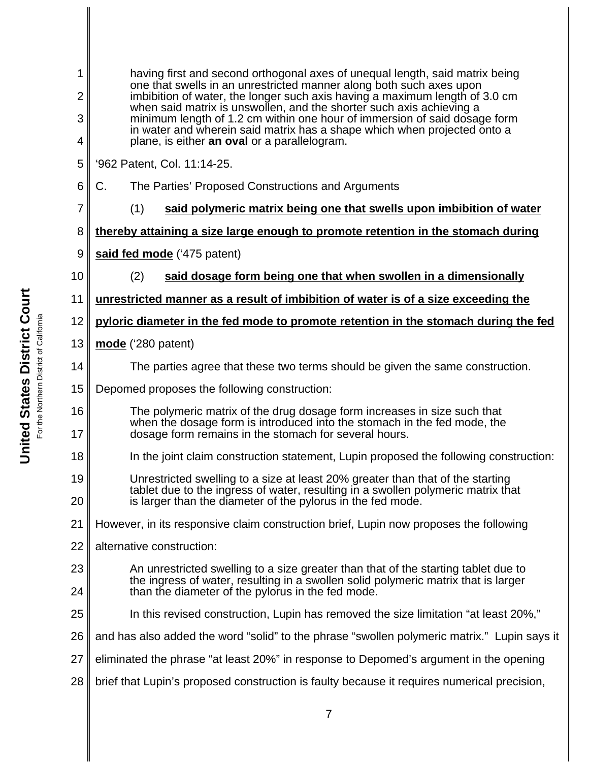| 1<br>having first and second orthogonal axes of unequal length, said matrix being<br>one that swells in an unrestricted manner along both such axes upon<br>$\overline{2}$<br>imbibition of water, the longer such axis having a maximum length of 3.0 cm<br>when said matrix is unswollen, and the shorter such axis achieving a<br>3<br>minimum length of 1.2 cm within one hour of immersion of said dosage form<br>in water and wherein said matrix has a shape which when projected onto a<br>plane, is either an oval or a parallelogram.<br>4 |                                                                                                                                                                                                                                   |
|------------------------------------------------------------------------------------------------------------------------------------------------------------------------------------------------------------------------------------------------------------------------------------------------------------------------------------------------------------------------------------------------------------------------------------------------------------------------------------------------------------------------------------------------------|-----------------------------------------------------------------------------------------------------------------------------------------------------------------------------------------------------------------------------------|
|                                                                                                                                                                                                                                                                                                                                                                                                                                                                                                                                                      |                                                                                                                                                                                                                                   |
|                                                                                                                                                                                                                                                                                                                                                                                                                                                                                                                                                      | 5                                                                                                                                                                                                                                 |
| 6                                                                                                                                                                                                                                                                                                                                                                                                                                                                                                                                                    | C.<br>The Parties' Proposed Constructions and Arguments                                                                                                                                                                           |
| 7                                                                                                                                                                                                                                                                                                                                                                                                                                                                                                                                                    | (1)<br>said polymeric matrix being one that swells upon imbibition of water                                                                                                                                                       |
| 8                                                                                                                                                                                                                                                                                                                                                                                                                                                                                                                                                    | thereby attaining a size large enough to promote retention in the stomach during                                                                                                                                                  |
| 9                                                                                                                                                                                                                                                                                                                                                                                                                                                                                                                                                    | said fed mode ('475 patent)                                                                                                                                                                                                       |
| 10                                                                                                                                                                                                                                                                                                                                                                                                                                                                                                                                                   | (2)<br>said dosage form being one that when swollen in a dimensionally                                                                                                                                                            |
| 11                                                                                                                                                                                                                                                                                                                                                                                                                                                                                                                                                   | unrestricted manner as a result of imbibition of water is of a size exceeding the                                                                                                                                                 |
| 12                                                                                                                                                                                                                                                                                                                                                                                                                                                                                                                                                   | pyloric diameter in the fed mode to promote retention in the stomach during the fed                                                                                                                                               |
| 13                                                                                                                                                                                                                                                                                                                                                                                                                                                                                                                                                   | mode ('280 patent)                                                                                                                                                                                                                |
| 14                                                                                                                                                                                                                                                                                                                                                                                                                                                                                                                                                   | The parties agree that these two terms should be given the same construction.                                                                                                                                                     |
| 15                                                                                                                                                                                                                                                                                                                                                                                                                                                                                                                                                   | Depomed proposes the following construction:                                                                                                                                                                                      |
| 16<br>17                                                                                                                                                                                                                                                                                                                                                                                                                                                                                                                                             | The polymeric matrix of the drug dosage form increases in size such that<br>when the dosage form is introduced into the stomach in the fed mode, the<br>dosage form remains in the stomach for several hours.                     |
| 18                                                                                                                                                                                                                                                                                                                                                                                                                                                                                                                                                   | In the joint claim construction statement, Lupin proposed the following construction:                                                                                                                                             |
| 19<br>20                                                                                                                                                                                                                                                                                                                                                                                                                                                                                                                                             | Unrestricted swelling to a size at least 20% greater than that of the starting<br>tablet due to the ingress of water, resulting in a swollen polymeric matrix that<br>is larger than the diameter of the pylorus in the fed mode. |
| 21                                                                                                                                                                                                                                                                                                                                                                                                                                                                                                                                                   | However, in its responsive claim construction brief, Lupin now proposes the following                                                                                                                                             |
| 22                                                                                                                                                                                                                                                                                                                                                                                                                                                                                                                                                   | alternative construction:                                                                                                                                                                                                         |
| 23<br>24                                                                                                                                                                                                                                                                                                                                                                                                                                                                                                                                             | An unrestricted swelling to a size greater than that of the starting tablet due to<br>the ingress of water, resulting in a swollen solid polymeric matrix that is larger<br>than the diameter of the pylorus in the fed mode.     |
| 25                                                                                                                                                                                                                                                                                                                                                                                                                                                                                                                                                   | In this revised construction, Lupin has removed the size limitation "at least 20%,"                                                                                                                                               |
| 26                                                                                                                                                                                                                                                                                                                                                                                                                                                                                                                                                   | and has also added the word "solid" to the phrase "swollen polymeric matrix." Lupin says it                                                                                                                                       |
| 27                                                                                                                                                                                                                                                                                                                                                                                                                                                                                                                                                   | eliminated the phrase "at least 20%" in response to Depomed's argument in the opening                                                                                                                                             |
| 28                                                                                                                                                                                                                                                                                                                                                                                                                                                                                                                                                   | brief that Lupin's proposed construction is faulty because it requires numerical precision,                                                                                                                                       |
|                                                                                                                                                                                                                                                                                                                                                                                                                                                                                                                                                      |                                                                                                                                                                                                                                   |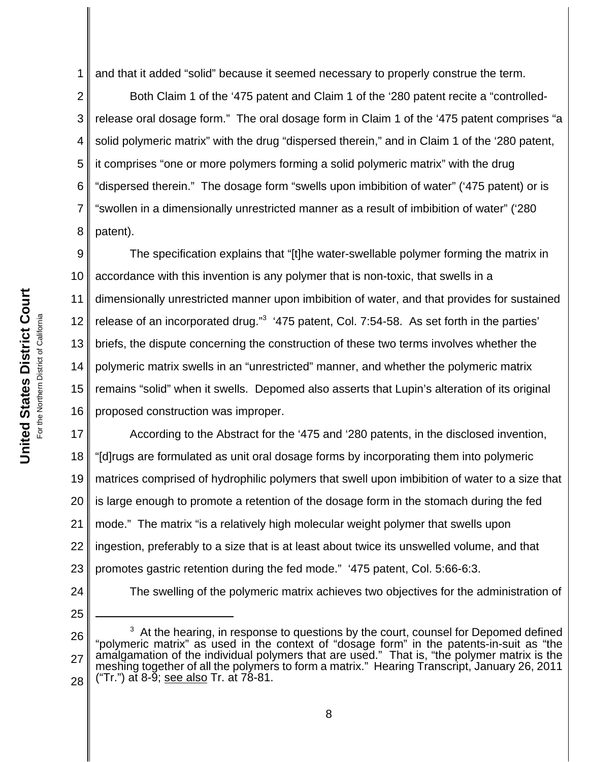1 and that it added "solid" because it seemed necessary to properly construe the term.

2 3 4 5 6 7 8 Both Claim 1 of the '475 patent and Claim 1 of the '280 patent recite a "controlledrelease oral dosage form." The oral dosage form in Claim 1 of the '475 patent comprises "a solid polymeric matrix" with the drug "dispersed therein," and in Claim 1 of the '280 patent, it comprises "one or more polymers forming a solid polymeric matrix" with the drug "dispersed therein." The dosage form "swells upon imbibition of water" ('475 patent) or is "swollen in a dimensionally unrestricted manner as a result of imbibition of water" ('280 patent).

9 10 11 12 13 14 15 16 The specification explains that "[t]he water-swellable polymer forming the matrix in accordance with this invention is any polymer that is non-toxic, that swells in a dimensionally unrestricted manner upon imbibition of water, and that provides for sustained release of an incorporated drug."<sup>3</sup> '475 patent, Col. 7:54-58. As set forth in the parties' briefs, the dispute concerning the construction of these two terms involves whether the polymeric matrix swells in an "unrestricted" manner, and whether the polymeric matrix remains "solid" when it swells. Depomed also asserts that Lupin's alteration of its original proposed construction was improper.

17 18 19 20 21 22 23 According to the Abstract for the '475 and '280 patents, in the disclosed invention, "[d]rugs are formulated as unit oral dosage forms by incorporating them into polymeric matrices comprised of hydrophilic polymers that swell upon imbibition of water to a size that is large enough to promote a retention of the dosage form in the stomach during the fed mode." The matrix "is a relatively high molecular weight polymer that swells upon ingestion, preferably to a size that is at least about twice its unswelled volume, and that promotes gastric retention during the fed mode." '475 patent, Col. 5:66-6:3.

24

25

The swelling of the polymeric matrix achieves two objectives for the administration of

<sup>26</sup> 27 28  $3$  At the hearing, in response to questions by the court, counsel for Depomed defined "polymeric matrix" as used in the context of "dosage form" in the patents-in-suit as "the amalgamation of the individual polymers that are used." That is, "the polymer matrix is the meshing together of all the polymers to form a matrix." Hearing Transcript, January 26, 2011 ("Tr.") at 8-9; see also Tr. at 78-81.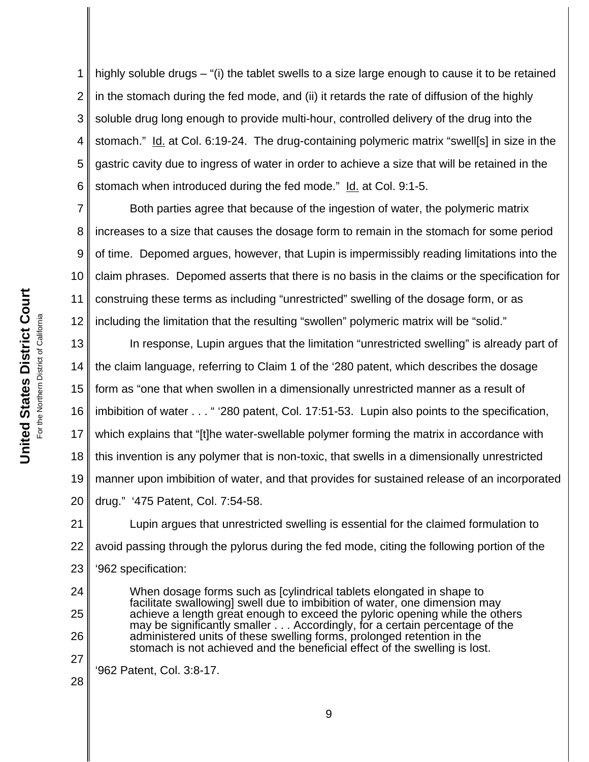1 2 3 4 5 6 highly soluble drugs – "(i) the tablet swells to a size large enough to cause it to be retained in the stomach during the fed mode, and (ii) it retards the rate of diffusion of the highly soluble drug long enough to provide multi-hour, controlled delivery of the drug into the stomach." Id. at Col. 6:19-24. The drug-containing polymeric matrix "swell[s] in size in the gastric cavity due to ingress of water in order to achieve a size that will be retained in the stomach when introduced during the fed mode." Id. at Col. 9:1-5.

7 8 9 10 11 12 Both parties agree that because of the ingestion of water, the polymeric matrix increases to a size that causes the dosage form to remain in the stomach for some period of time. Depomed argues, however, that Lupin is impermissibly reading limitations into the claim phrases. Depomed asserts that there is no basis in the claims or the specification for construing these terms as including "unrestricted" swelling of the dosage form, or as including the limitation that the resulting "swollen" polymeric matrix will be "solid."

13 14 15 16 17 18 19 20 In response, Lupin argues that the limitation "unrestricted swelling" is already part of the claim language, referring to Claim 1 of the '280 patent, which describes the dosage form as "one that when swollen in a dimensionally unrestricted manner as a result of imbibition of water . . . " '280 patent, Col. 17:51-53. Lupin also points to the specification, which explains that "[t]he water-swellable polymer forming the matrix in accordance with this invention is any polymer that is non-toxic, that swells in a dimensionally unrestricted manner upon imbibition of water, and that provides for sustained release of an incorporated drug." '475 Patent, Col. 7:54-58.

21 22 23 Lupin argues that unrestricted swelling is essential for the claimed formulation to avoid passing through the pylorus during the fed mode, citing the following portion of the '962 specification:

When dosage forms such as [cylindrical tablets elongated in shape to facilitate swallowing] swell due to imbibition of water, one dimension may achieve a length great enough to exceed the pyloric opening while the others may be significantly smaller  $\ldots$  Accordingly, for a certain percentage of the administered units of these swelling forms, prolonged retention in the stomach is not achieved and the beneficial effect of the swelling is lost.

'962 Patent, Col. 3:8-17.

28

27

24

25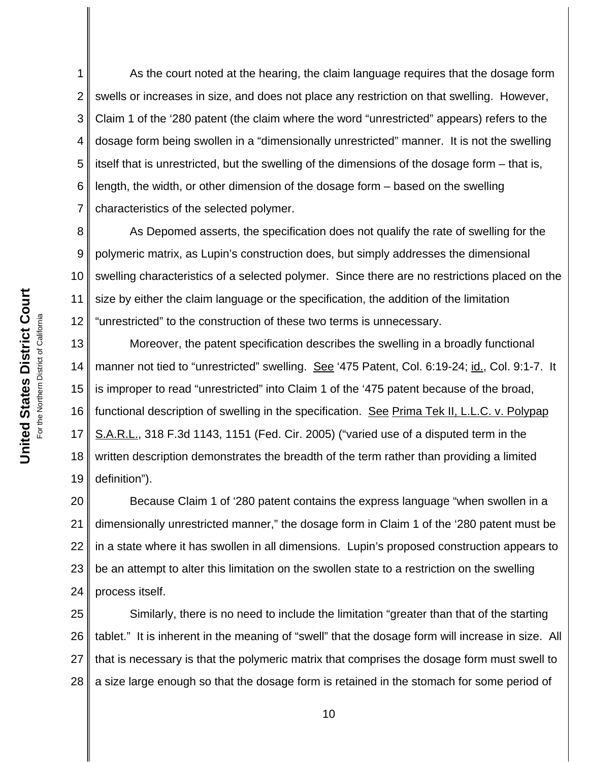1 2 3 4 5 6 7 As the court noted at the hearing, the claim language requires that the dosage form swells or increases in size, and does not place any restriction on that swelling. However, Claim 1 of the '280 patent (the claim where the word "unrestricted" appears) refers to the dosage form being swollen in a "dimensionally unrestricted" manner. It is not the swelling itself that is unrestricted, but the swelling of the dimensions of the dosage form – that is, length, the width, or other dimension of the dosage form – based on the swelling characteristics of the selected polymer.

8 9 10 11 12 As Depomed asserts, the specification does not qualify the rate of swelling for the polymeric matrix, as Lupin's construction does, but simply addresses the dimensional swelling characteristics of a selected polymer. Since there are no restrictions placed on the size by either the claim language or the specification, the addition of the limitation "unrestricted" to the construction of these two terms is unnecessary.

13 14 15 16 17 18 19 Moreover, the patent specification describes the swelling in a broadly functional manner not tied to "unrestricted" swelling. See '475 Patent, Col. 6:19-24; id., Col. 9:1-7. It is improper to read "unrestricted" into Claim 1 of the '475 patent because of the broad, functional description of swelling in the specification. See Prima Tek II, L.L.C. v. Polypap S.A.R.L., 318 F.3d 1143, 1151 (Fed. Cir. 2005) ("varied use of a disputed term in the written description demonstrates the breadth of the term rather than providing a limited definition").

20 21 22 23 24 Because Claim 1 of '280 patent contains the express language "when swollen in a dimensionally unrestricted manner," the dosage form in Claim 1 of the '280 patent must be in a state where it has swollen in all dimensions. Lupin's proposed construction appears to be an attempt to alter this limitation on the swollen state to a restriction on the swelling process itself.

25 26 27 28 Similarly, there is no need to include the limitation "greater than that of the starting tablet." It is inherent in the meaning of "swell" that the dosage form will increase in size. All that is necessary is that the polymeric matrix that comprises the dosage form must swell to a size large enough so that the dosage form is retained in the stomach for some period of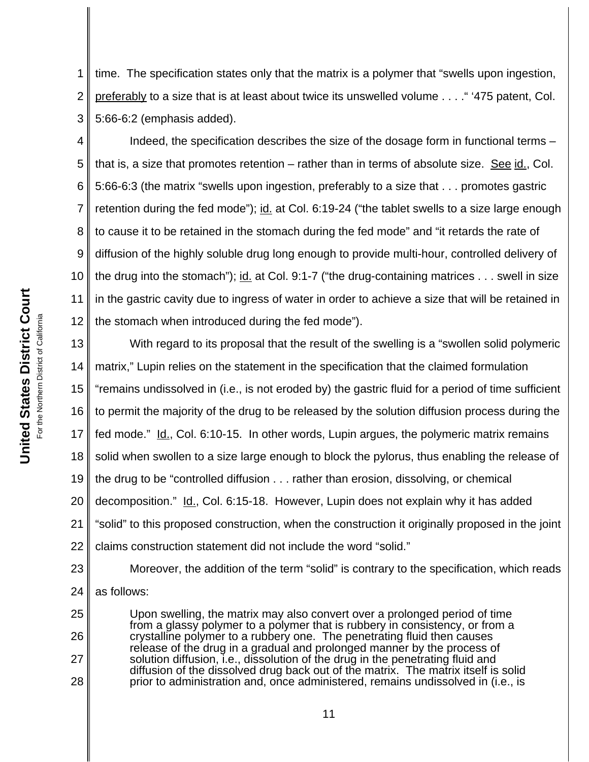1 2 3 time. The specification states only that the matrix is a polymer that "swells upon ingestion, preferably to a size that is at least about twice its unswelled volume . . . ." '475 patent, Col. 5:66-6:2 (emphasis added).

4 5 6 7 8 9 10 11 12 Indeed, the specification describes the size of the dosage form in functional terms – that is, a size that promotes retention – rather than in terms of absolute size. See id., Col. 5:66-6:3 (the matrix "swells upon ingestion, preferably to a size that . . . promotes gastric retention during the fed mode"); id. at Col. 6:19-24 ("the tablet swells to a size large enough to cause it to be retained in the stomach during the fed mode" and "it retards the rate of diffusion of the highly soluble drug long enough to provide multi-hour, controlled delivery of the drug into the stomach"); id. at Col. 9:1-7 ("the drug-containing matrices . . . swell in size in the gastric cavity due to ingress of water in order to achieve a size that will be retained in the stomach when introduced during the fed mode").

13 14 15 16 17 18 19 20 21 22 With regard to its proposal that the result of the swelling is a "swollen solid polymeric matrix," Lupin relies on the statement in the specification that the claimed formulation "remains undissolved in (i.e., is not eroded by) the gastric fluid for a period of time sufficient to permit the majority of the drug to be released by the solution diffusion process during the fed mode." Id., Col. 6:10-15. In other words, Lupin argues, the polymeric matrix remains solid when swollen to a size large enough to block the pylorus, thus enabling the release of the drug to be "controlled diffusion . . . rather than erosion, dissolving, or chemical decomposition." Id., Col. 6:15-18. However, Lupin does not explain why it has added "solid" to this proposed construction, when the construction it originally proposed in the joint claims construction statement did not include the word "solid."

23 24 Moreover, the addition of the term "solid" is contrary to the specification, which reads as follows:

Upon swelling, the matrix may also convert over a prolonged period of time from a glassy polymer to a polymer that is rubbery in consistency, or from a crystalline polymer to a rubbery one. The penetrating fluid then causes release of the drug in a gradual and prolonged manner by the process of solution diffusion, i.e., dissolution of the drug in the penetrating fluid and diffusion of the dissolved drug back out of the matrix. The matrix itself is solid prior to administration and, once administered, remains undissolved in (i.e., is

25

26

27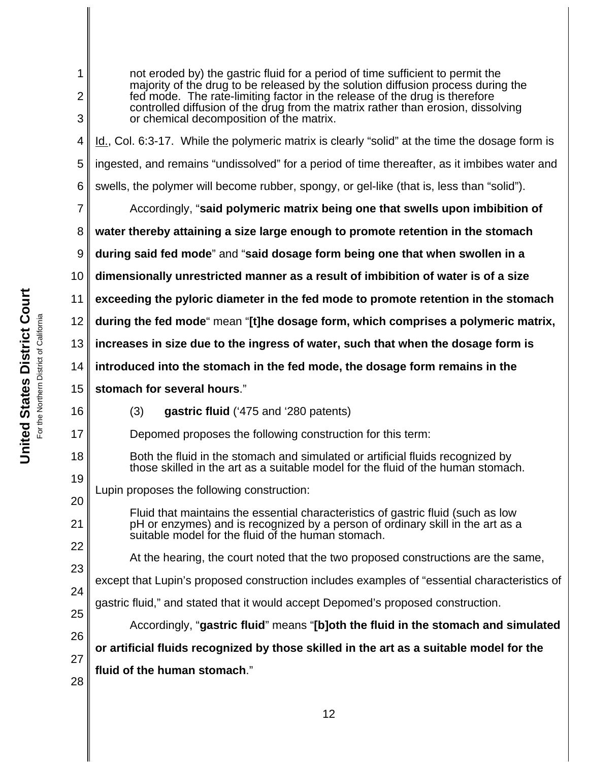| 1<br>$\overline{2}$<br>3 | not eroded by) the gastric fluid for a period of time sufficient to permit the<br>majority of the drug to be released by the solution diffusion process during the<br>fed mode. The rate-limiting factor in the release of the drug is therefore<br>controlled diffusion of the drug from the matrix rather than erosion, dissolving<br>or chemical decomposition of the matrix. |
|--------------------------|----------------------------------------------------------------------------------------------------------------------------------------------------------------------------------------------------------------------------------------------------------------------------------------------------------------------------------------------------------------------------------|
| 4                        | Id., Col. 6:3-17. While the polymeric matrix is clearly "solid" at the time the dosage form is                                                                                                                                                                                                                                                                                   |
| 5                        | ingested, and remains "undissolved" for a period of time thereafter, as it imbibes water and                                                                                                                                                                                                                                                                                     |
| 6                        | swells, the polymer will become rubber, spongy, or gel-like (that is, less than "solid").                                                                                                                                                                                                                                                                                        |
| 7                        | Accordingly, "said polymeric matrix being one that swells upon imbibition of                                                                                                                                                                                                                                                                                                     |
| 8                        | water thereby attaining a size large enough to promote retention in the stomach                                                                                                                                                                                                                                                                                                  |
| 9                        | during said fed mode" and "said dosage form being one that when swollen in a                                                                                                                                                                                                                                                                                                     |
| 10                       | dimensionally unrestricted manner as a result of imbibition of water is of a size                                                                                                                                                                                                                                                                                                |
| 11                       | exceeding the pyloric diameter in the fed mode to promote retention in the stomach                                                                                                                                                                                                                                                                                               |
| 12                       | during the fed mode" mean "[t]he dosage form, which comprises a polymeric matrix,                                                                                                                                                                                                                                                                                                |
| 13                       | increases in size due to the ingress of water, such that when the dosage form is                                                                                                                                                                                                                                                                                                 |
| 14                       | introduced into the stomach in the fed mode, the dosage form remains in the                                                                                                                                                                                                                                                                                                      |
| 15                       | stomach for several hours."                                                                                                                                                                                                                                                                                                                                                      |
| 16                       | (3)<br>gastric fluid ('475 and '280 patents)                                                                                                                                                                                                                                                                                                                                     |
| 17                       | Depomed proposes the following construction for this term:                                                                                                                                                                                                                                                                                                                       |
| 18                       | Both the fluid in the stomach and simulated or artificial fluids recognized by<br>those skilled in the art as a suitable model for the fluid of the human stomach.                                                                                                                                                                                                               |
| 19                       | Lupin proposes the following construction:                                                                                                                                                                                                                                                                                                                                       |
| 20                       | Fluid that maintains the essential characteristics of gastric fluid (such as low                                                                                                                                                                                                                                                                                                 |
| 21                       | pH or enzymes) and is recognized by a person of ordinary skill in the art as a<br>suitable model for the fluid of the human stomach.                                                                                                                                                                                                                                             |
| 22                       | At the hearing, the court noted that the two proposed constructions are the same,                                                                                                                                                                                                                                                                                                |
| 23                       | except that Lupin's proposed construction includes examples of "essential characteristics of                                                                                                                                                                                                                                                                                     |
| 24                       | gastric fluid," and stated that it would accept Depomed's proposed construction.                                                                                                                                                                                                                                                                                                 |
|                          |                                                                                                                                                                                                                                                                                                                                                                                  |
| 25                       | Accordingly, "gastric fluid" means "[b]oth the fluid in the stomach and simulated                                                                                                                                                                                                                                                                                                |
| 26                       | or artificial fluids recognized by those skilled in the art as a suitable model for the                                                                                                                                                                                                                                                                                          |
| 27<br>28                 | fluid of the human stomach."                                                                                                                                                                                                                                                                                                                                                     |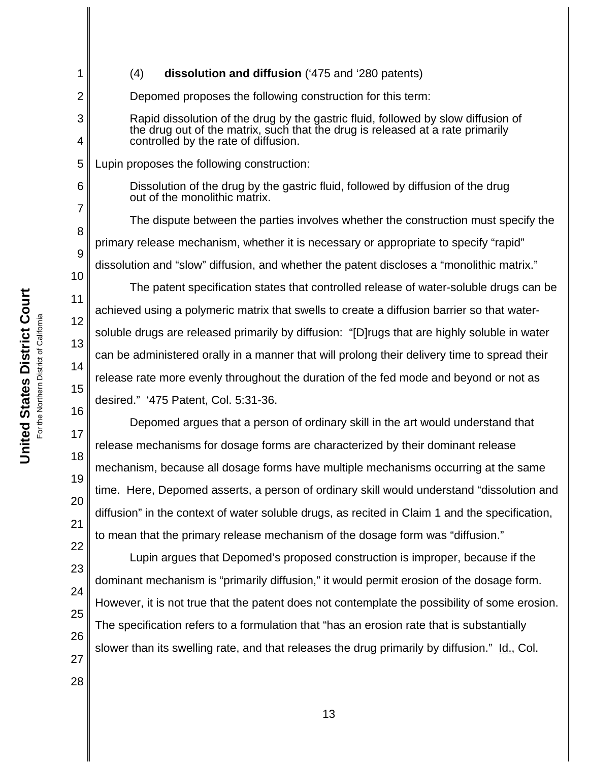For the Northern District of California the Northern District of California ā

28

**United States District Court**

United States District Court

1 2 3 4 5 6 7 8 9 10 11 12 13 14 15 16 17 18 19 20 21 22 23 24 25 26 27 (4) **dissolution and diffusion** ('475 and '280 patents) Depomed proposes the following construction for this term: Rapid dissolution of the drug by the gastric fluid, followed by slow diffusion of the drug out of the matrix, such that the drug is released at a rate primarily controlled by the rate of diffusion. Lupin proposes the following construction: Dissolution of the drug by the gastric fluid, followed by diffusion of the drug out of the monolithic matrix. The dispute between the parties involves whether the construction must specify the primary release mechanism, whether it is necessary or appropriate to specify "rapid" dissolution and "slow" diffusion, and whether the patent discloses a "monolithic matrix." The patent specification states that controlled release of water-soluble drugs can be achieved using a polymeric matrix that swells to create a diffusion barrier so that watersoluble drugs are released primarily by diffusion: "[D]rugs that are highly soluble in water can be administered orally in a manner that will prolong their delivery time to spread their release rate more evenly throughout the duration of the fed mode and beyond or not as desired." '475 Patent, Col. 5:31-36. Depomed argues that a person of ordinary skill in the art would understand that release mechanisms for dosage forms are characterized by their dominant release mechanism, because all dosage forms have multiple mechanisms occurring at the same time. Here, Depomed asserts, a person of ordinary skill would understand "dissolution and diffusion" in the context of water soluble drugs, as recited in Claim 1 and the specification, to mean that the primary release mechanism of the dosage form was "diffusion." Lupin argues that Depomed's proposed construction is improper, because if the dominant mechanism is "primarily diffusion," it would permit erosion of the dosage form. However, it is not true that the patent does not contemplate the possibility of some erosion. The specification refers to a formulation that "has an erosion rate that is substantially slower than its swelling rate, and that releases the drug primarily by diffusion." Id., Col.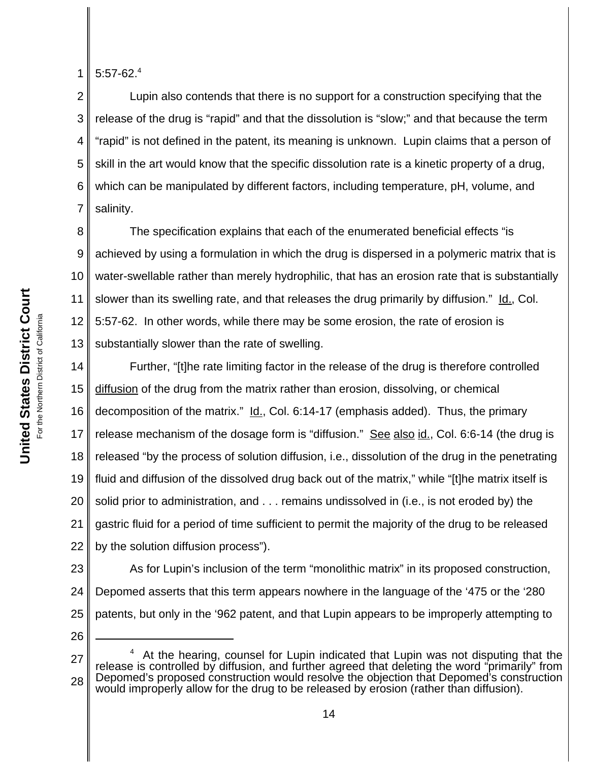**United States District Court United States District Court** For the Northern District of California the Northern District of California 1  $5:57-62.<sup>4</sup>$ 

2 3 4 5 6 7 Lupin also contends that there is no support for a construction specifying that the release of the drug is "rapid" and that the dissolution is "slow;" and that because the term "rapid" is not defined in the patent, its meaning is unknown. Lupin claims that a person of skill in the art would know that the specific dissolution rate is a kinetic property of a drug, which can be manipulated by different factors, including temperature, pH, volume, and salinity.

8 9 10 11 12 13 The specification explains that each of the enumerated beneficial effects "is achieved by using a formulation in which the drug is dispersed in a polymeric matrix that is water-swellable rather than merely hydrophilic, that has an erosion rate that is substantially slower than its swelling rate, and that releases the drug primarily by diffusion." Id., Col. 5:57-62. In other words, while there may be some erosion, the rate of erosion is substantially slower than the rate of swelling.

14 15 16 17 18 19 20 21 22 Further, "[t]he rate limiting factor in the release of the drug is therefore controlled diffusion of the drug from the matrix rather than erosion, dissolving, or chemical decomposition of the matrix."  $\underline{Id.}$ , Col. 6:14-17 (emphasis added). Thus, the primary release mechanism of the dosage form is "diffusion." See also id., Col. 6:6-14 (the drug is released "by the process of solution diffusion, i.e., dissolution of the drug in the penetrating fluid and diffusion of the dissolved drug back out of the matrix," while "[t]he matrix itself is solid prior to administration, and . . . remains undissolved in (i.e., is not eroded by) the gastric fluid for a period of time sufficient to permit the majority of the drug to be released by the solution diffusion process").

23 24 25 As for Lupin's inclusion of the term "monolithic matrix" in its proposed construction, Depomed asserts that this term appears nowhere in the language of the '475 or the '280 patents, but only in the '962 patent, and that Lupin appears to be improperly attempting to

<sup>27</sup> 28 4 At the hearing, counsel for Lupin indicated that Lupin was not disputing that the release is controlled by diffusion, and further agreed that deleting the word "primarily" from Depomed's proposed construction would resolve the objection that Depomed's construction would improperly allow for the drug to be released by erosion (rather than diffusion).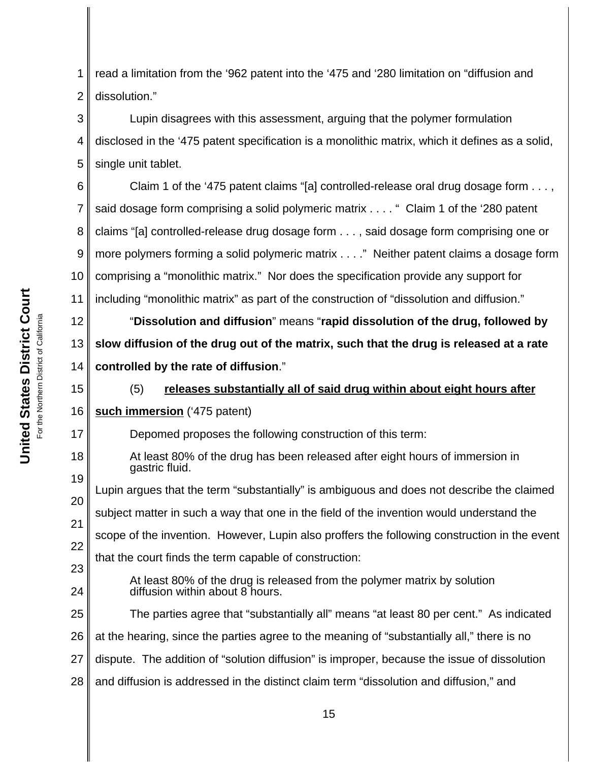United States District Court **United States District Court** For the Northern District of California the Northern District of California 등

18

19

24

1 2 read a limitation from the '962 patent into the '475 and '280 limitation on "diffusion and dissolution."

3 4 5 Lupin disagrees with this assessment, arguing that the polymer formulation disclosed in the '475 patent specification is a monolithic matrix, which it defines as a solid, single unit tablet.

6 7 8 9 10 11 Claim 1 of the '475 patent claims "[a] controlled-release oral drug dosage form . . . , said dosage form comprising a solid polymeric matrix . . . . " Claim 1 of the '280 patent claims "[a] controlled-release drug dosage form . . . , said dosage form comprising one or more polymers forming a solid polymeric matrix . . . ." Neither patent claims a dosage form comprising a "monolithic matrix." Nor does the specification provide any support for including "monolithic matrix" as part of the construction of "dissolution and diffusion."

12 13 14 "**Dissolution and diffusion**" means "**rapid dissolution of the drug, followed by slow diffusion of the drug out of the matrix, such that the drug is released at a rate controlled by the rate of diffusion**."

15 16 17 (5) **releases substantially all of said drug within about eight hours after such immersion** ('475 patent) Depomed proposes the following construction of this term:

At least 80% of the drug has been released after eight hours of immersion in gastric fluid.

20 21 22 23 Lupin argues that the term "substantially" is ambiguous and does not describe the claimed subject matter in such a way that one in the field of the invention would understand the scope of the invention. However, Lupin also proffers the following construction in the event that the court finds the term capable of construction:

At least 80% of the drug is released from the polymer matrix by solution diffusion within about 8 hours.

25 26 27 28 The parties agree that "substantially all" means "at least 80 per cent." As indicated at the hearing, since the parties agree to the meaning of "substantially all," there is no dispute. The addition of "solution diffusion" is improper, because the issue of dissolution and diffusion is addressed in the distinct claim term "dissolution and diffusion," and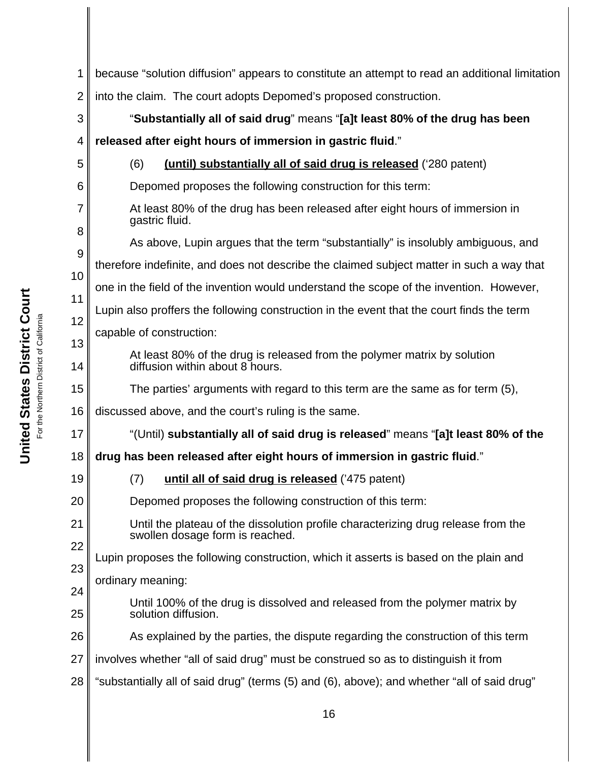1 2 3 4 5 6 7 8 9 10 11 12 13 14 15 16 17 18 19 20 21 22 23 24 25 26 27 28 because "solution diffusion" appears to constitute an attempt to read an additional limitation into the claim. The court adopts Depomed's proposed construction. "**Substantially all of said drug**" means "**[a]t least 80% of the drug has been released after eight hours of immersion in gastric fluid**." (6) **(until) substantially all of said drug is released** ('280 patent) Depomed proposes the following construction for this term: At least 80% of the drug has been released after eight hours of immersion in gastric fluid. As above, Lupin argues that the term "substantially" is insolubly ambiguous, and therefore indefinite, and does not describe the claimed subject matter in such a way that one in the field of the invention would understand the scope of the invention. However, Lupin also proffers the following construction in the event that the court finds the term capable of construction: At least 80% of the drug is released from the polymer matrix by solution diffusion within about 8 hours. The parties' arguments with regard to this term are the same as for term (5), discussed above, and the court's ruling is the same. "(Until) **substantially all of said drug is released**" means "**[a]t least 80% of the drug has been released after eight hours of immersion in gastric fluid**." (7) **until all of said drug is released** ('475 patent) Depomed proposes the following construction of this term: Until the plateau of the dissolution profile characterizing drug release from the swollen dosage form is reached. Lupin proposes the following construction, which it asserts is based on the plain and ordinary meaning: Until 100% of the drug is dissolved and released from the polymer matrix by solution diffusion. As explained by the parties, the dispute regarding the construction of this term involves whether "all of said drug" must be construed so as to distinguish it from "substantially all of said drug" (terms (5) and (6), above); and whether "all of said drug"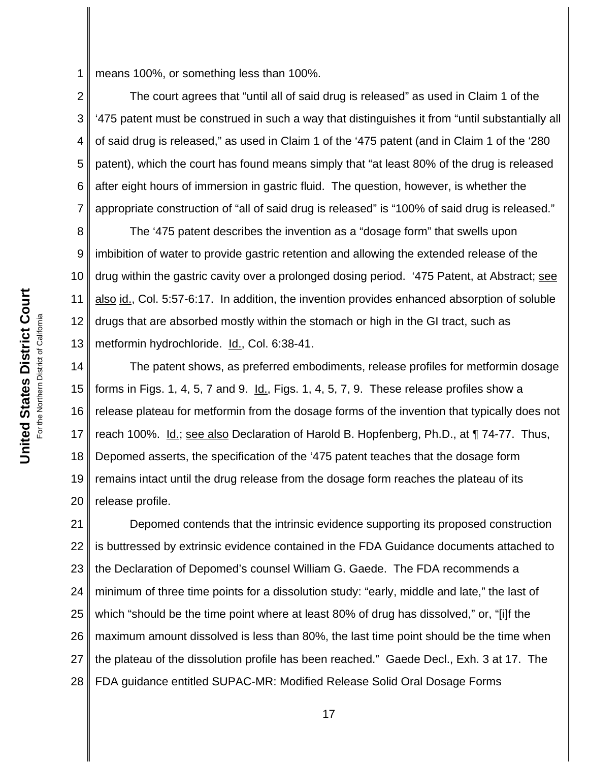1 means 100%, or something less than 100%.

2 3 4 5 6 7 The court agrees that "until all of said drug is released" as used in Claim 1 of the '475 patent must be construed in such a way that distinguishes it from "until substantially all of said drug is released," as used in Claim 1 of the '475 patent (and in Claim 1 of the '280 patent), which the court has found means simply that "at least 80% of the drug is released after eight hours of immersion in gastric fluid. The question, however, is whether the appropriate construction of "all of said drug is released" is "100% of said drug is released."

8 9 10 11 12 13 The '475 patent describes the invention as a "dosage form" that swells upon imbibition of water to provide gastric retention and allowing the extended release of the drug within the gastric cavity over a prolonged dosing period. '475 Patent, at Abstract; see also id., Col. 5:57-6:17. In addition, the invention provides enhanced absorption of soluble drugs that are absorbed mostly within the stomach or high in the GI tract, such as metformin hydrochloride. Id., Col. 6:38-41.

14 15 16 17 18 19 20 The patent shows, as preferred embodiments, release profiles for metformin dosage forms in Figs. 1, 4, 5, 7 and 9. Id., Figs. 1, 4, 5, 7, 9. These release profiles show a release plateau for metformin from the dosage forms of the invention that typically does not reach 100%. Id.; see also Declaration of Harold B. Hopfenberg, Ph.D., at ¶ 74-77. Thus, Depomed asserts, the specification of the '475 patent teaches that the dosage form remains intact until the drug release from the dosage form reaches the plateau of its release profile.

21 22 23 24 25 26 27 28 Depomed contends that the intrinsic evidence supporting its proposed construction is buttressed by extrinsic evidence contained in the FDA Guidance documents attached to the Declaration of Depomed's counsel William G. Gaede. The FDA recommends a minimum of three time points for a dissolution study: "early, middle and late," the last of which "should be the time point where at least 80% of drug has dissolved," or, "[i]f the maximum amount dissolved is less than 80%, the last time point should be the time when the plateau of the dissolution profile has been reached." Gaede Decl., Exh. 3 at 17. The FDA guidance entitled SUPAC-MR: Modified Release Solid Oral Dosage Forms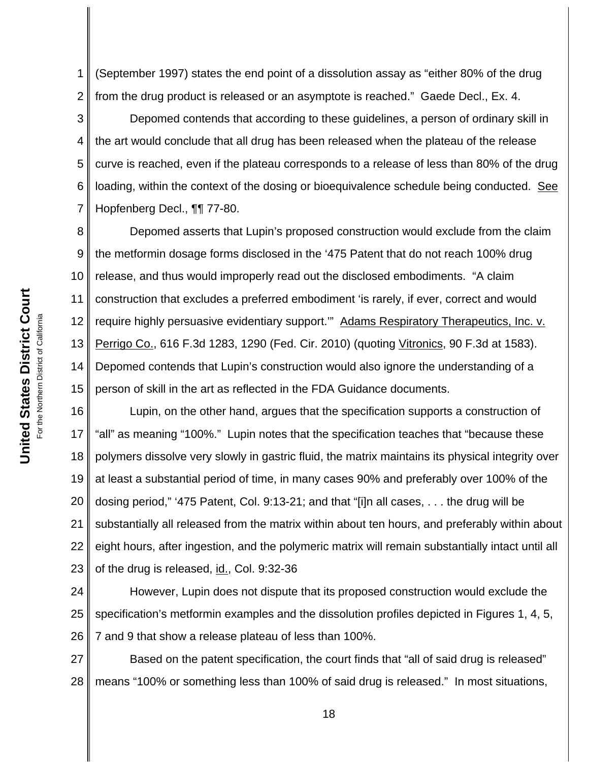1 2 (September 1997) states the end point of a dissolution assay as "either 80% of the drug from the drug product is released or an asymptote is reached." Gaede Decl., Ex. 4.

3 4 5 6 7 Depomed contends that according to these guidelines, a person of ordinary skill in the art would conclude that all drug has been released when the plateau of the release curve is reached, even if the plateau corresponds to a release of less than 80% of the drug loading, within the context of the dosing or bioequivalence schedule being conducted. See Hopfenberg Decl., ¶¶ 77-80.

8 9 10 11 12 13 14 15 Depomed asserts that Lupin's proposed construction would exclude from the claim the metformin dosage forms disclosed in the '475 Patent that do not reach 100% drug release, and thus would improperly read out the disclosed embodiments. "A claim construction that excludes a preferred embodiment 'is rarely, if ever, correct and would require highly persuasive evidentiary support." Adams Respiratory Therapeutics, Inc. v. Perrigo Co., 616 F.3d 1283, 1290 (Fed. Cir. 2010) (quoting Vitronics, 90 F.3d at 1583). Depomed contends that Lupin's construction would also ignore the understanding of a person of skill in the art as reflected in the FDA Guidance documents.

16 17 18 19 20 21 22 23 Lupin, on the other hand, argues that the specification supports a construction of "all" as meaning "100%." Lupin notes that the specification teaches that "because these polymers dissolve very slowly in gastric fluid, the matrix maintains its physical integrity over at least a substantial period of time, in many cases 90% and preferably over 100% of the dosing period," '475 Patent, Col. 9:13-21; and that "[i]n all cases, . . . the drug will be substantially all released from the matrix within about ten hours, and preferably within about eight hours, after ingestion, and the polymeric matrix will remain substantially intact until all of the drug is released, id., Col. 9:32-36

24 25 26 However, Lupin does not dispute that its proposed construction would exclude the specification's metformin examples and the dissolution profiles depicted in Figures 1, 4, 5, 7 and 9 that show a release plateau of less than 100%.

27 28 Based on the patent specification, the court finds that "all of said drug is released" means "100% or something less than 100% of said drug is released." In most situations,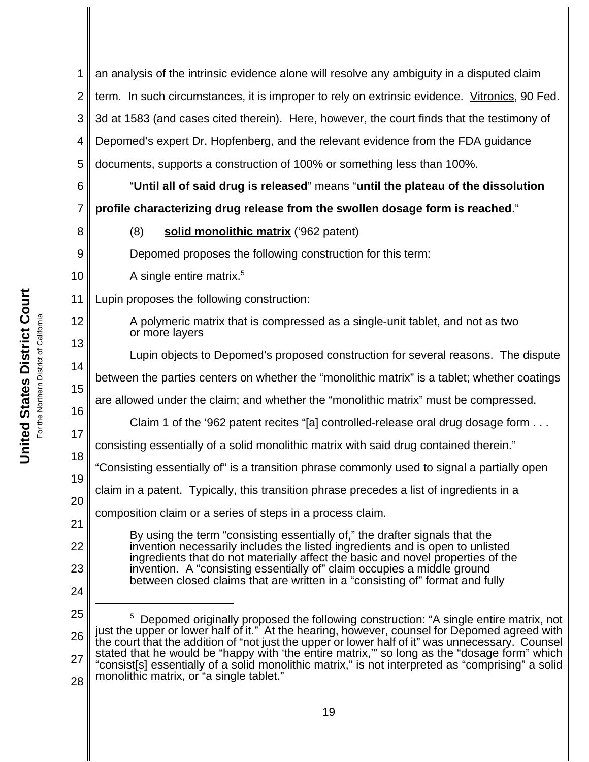1 2 3 4 5 6 7 8 9 10 11 12 13 14 15 16 17 18 19 20 21 22 23 24 25 26 27 28 <sup>5</sup> Depomed originally proposed the following construction: "A single entire matrix, not just the upper or lower half of it." At the hearing, however, counsel for Depomed agreed with the court that the addition of "not just the upper or lower half of it" was unnecessary. Counsel stated that he would be "happy with 'the entire matrix,'" so long as the "dosage form" which "consist[s] essentially of a solid monolithic matrix," is not interpreted as "comprising" a solid monolithic matrix, or "a single tablet." an analysis of the intrinsic evidence alone will resolve any ambiguity in a disputed claim term. In such circumstances, it is improper to rely on extrinsic evidence. Vitronics, 90 Fed. 3d at 1583 (and cases cited therein). Here, however, the court finds that the testimony of Depomed's expert Dr. Hopfenberg, and the relevant evidence from the FDA guidance documents, supports a construction of 100% or something less than 100%. "**Until all of said drug is released**" means "**until the plateau of the dissolution profile characterizing drug release from the swollen dosage form is reached**." (8) **solid monolithic matrix** ('962 patent) Depomed proposes the following construction for this term: A single entire matrix.<sup>5</sup> Lupin proposes the following construction: A polymeric matrix that is compressed as a single-unit tablet, and not as two or more layers Lupin objects to Depomed's proposed construction for several reasons. The dispute between the parties centers on whether the "monolithic matrix" is a tablet; whether coatings are allowed under the claim; and whether the "monolithic matrix" must be compressed. Claim 1 of the '962 patent recites "[a] controlled-release oral drug dosage form . . . consisting essentially of a solid monolithic matrix with said drug contained therein." "Consisting essentially of" is a transition phrase commonly used to signal a partially open claim in a patent. Typically, this transition phrase precedes a list of ingredients in a composition claim or a series of steps in a process claim. By using the term "consisting essentially of," the drafter signals that the invention necessarily includes the listed ingredients and is open to unlisted ingredients that do not materially affect the basic and novel properties of the invention. A "consisting essentially of" claim occupies a middle ground between closed claims that are written in a "consisting of" format and fully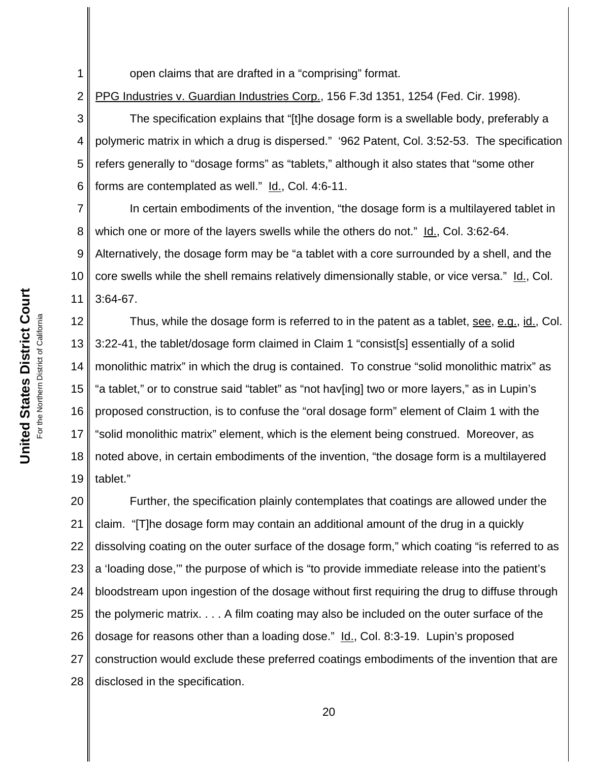**United States District Court United States District Court** For the Northern District of California the Northern District of California 1

open claims that are drafted in a "comprising" format.

2 PPG Industries v. Guardian Industries Corp., 156 F.3d 1351, 1254 (Fed. Cir. 1998).

3 4 5 6 The specification explains that "[t]he dosage form is a swellable body, preferably a polymeric matrix in which a drug is dispersed." '962 Patent, Col. 3:52-53. The specification refers generally to "dosage forms" as "tablets," although it also states that "some other forms are contemplated as well." Id., Col. 4:6-11.

7 8 9 10 11 In certain embodiments of the invention, "the dosage form is a multilayered tablet in which one or more of the layers swells while the others do not." Id., Col. 3:62-64. Alternatively, the dosage form may be "a tablet with a core surrounded by a shell, and the core swells while the shell remains relatively dimensionally stable, or vice versa." Id., Col. 3:64-67.

12 13 14 15 16 17 18 19 Thus, while the dosage form is referred to in the patent as a tablet, see, e.g., id., Col. 3:22-41, the tablet/dosage form claimed in Claim 1 "consist[s] essentially of a solid monolithic matrix" in which the drug is contained. To construe "solid monolithic matrix" as "a tablet," or to construe said "tablet" as "not hav[ing] two or more layers," as in Lupin's proposed construction, is to confuse the "oral dosage form" element of Claim 1 with the "solid monolithic matrix" element, which is the element being construed. Moreover, as noted above, in certain embodiments of the invention, "the dosage form is a multilayered tablet."

20 21 22 23 24 25 26 27 28 Further, the specification plainly contemplates that coatings are allowed under the claim. "[T]he dosage form may contain an additional amount of the drug in a quickly dissolving coating on the outer surface of the dosage form," which coating "is referred to as a 'loading dose,'" the purpose of which is "to provide immediate release into the patient's bloodstream upon ingestion of the dosage without first requiring the drug to diffuse through the polymeric matrix. . . . A film coating may also be included on the outer surface of the dosage for reasons other than a loading dose." Id., Col. 8:3-19. Lupin's proposed construction would exclude these preferred coatings embodiments of the invention that are disclosed in the specification.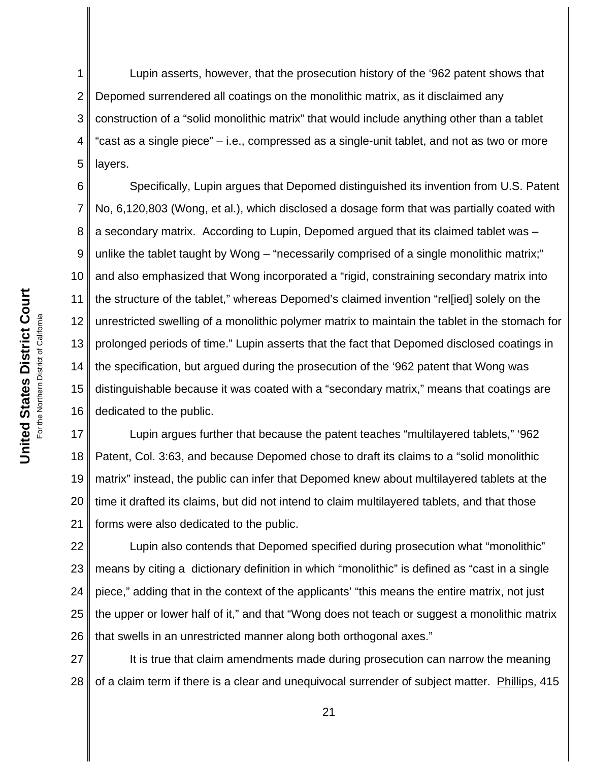1 2 3 4 5 Lupin asserts, however, that the prosecution history of the '962 patent shows that Depomed surrendered all coatings on the monolithic matrix, as it disclaimed any construction of a "solid monolithic matrix" that would include anything other than a tablet "cast as a single piece" – i.e., compressed as a single-unit tablet, and not as two or more layers.

6 7 8 9 10 11 12 13 14 15 16 Specifically, Lupin argues that Depomed distinguished its invention from U.S. Patent No, 6,120,803 (Wong, et al.), which disclosed a dosage form that was partially coated with a secondary matrix. According to Lupin, Depomed argued that its claimed tablet was – unlike the tablet taught by Wong – "necessarily comprised of a single monolithic matrix;" and also emphasized that Wong incorporated a "rigid, constraining secondary matrix into the structure of the tablet," whereas Depomed's claimed invention "rel[ied] solely on the unrestricted swelling of a monolithic polymer matrix to maintain the tablet in the stomach for prolonged periods of time." Lupin asserts that the fact that Depomed disclosed coatings in the specification, but argued during the prosecution of the '962 patent that Wong was distinguishable because it was coated with a "secondary matrix," means that coatings are dedicated to the public.

17 18 19 20 21 Lupin argues further that because the patent teaches "multilayered tablets," '962 Patent, Col. 3:63, and because Depomed chose to draft its claims to a "solid monolithic matrix" instead, the public can infer that Depomed knew about multilayered tablets at the time it drafted its claims, but did not intend to claim multilayered tablets, and that those forms were also dedicated to the public.

22 23 24 25 26 Lupin also contends that Depomed specified during prosecution what "monolithic" means by citing a dictionary definition in which "monolithic" is defined as "cast in a single piece," adding that in the context of the applicants' "this means the entire matrix, not just the upper or lower half of it," and that "Wong does not teach or suggest a monolithic matrix that swells in an unrestricted manner along both orthogonal axes."

27 28 It is true that claim amendments made during prosecution can narrow the meaning of a claim term if there is a clear and unequivocal surrender of subject matter. Phillips, 415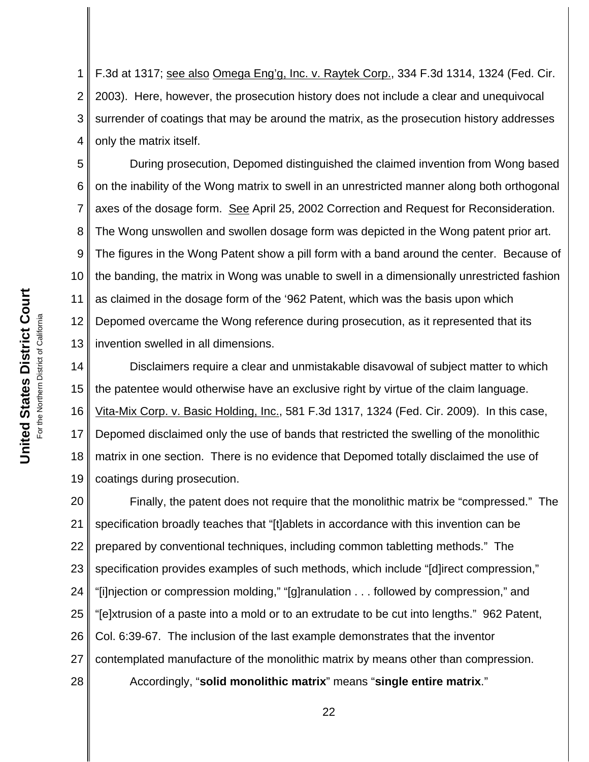1 2 3 4 F.3d at 1317; see also Omega Eng'g, Inc. v. Raytek Corp., 334 F.3d 1314, 1324 (Fed. Cir. 2003). Here, however, the prosecution history does not include a clear and unequivocal surrender of coatings that may be around the matrix, as the prosecution history addresses only the matrix itself.

5 6 7 8 9 10 11 12 13 During prosecution, Depomed distinguished the claimed invention from Wong based on the inability of the Wong matrix to swell in an unrestricted manner along both orthogonal axes of the dosage form. See April 25, 2002 Correction and Request for Reconsideration. The Wong unswollen and swollen dosage form was depicted in the Wong patent prior art. The figures in the Wong Patent show a pill form with a band around the center. Because of the banding, the matrix in Wong was unable to swell in a dimensionally unrestricted fashion as claimed in the dosage form of the '962 Patent, which was the basis upon which Depomed overcame the Wong reference during prosecution, as it represented that its invention swelled in all dimensions.

14 15 16 17 18 19 Disclaimers require a clear and unmistakable disavowal of subject matter to which the patentee would otherwise have an exclusive right by virtue of the claim language. Vita-Mix Corp. v. Basic Holding, Inc., 581 F.3d 1317, 1324 (Fed. Cir. 2009). In this case, Depomed disclaimed only the use of bands that restricted the swelling of the monolithic matrix in one section. There is no evidence that Depomed totally disclaimed the use of coatings during prosecution.

20 21 22 23 24 25 26 27 28 Finally, the patent does not require that the monolithic matrix be "compressed." The specification broadly teaches that "[t]ablets in accordance with this invention can be prepared by conventional techniques, including common tabletting methods." The specification provides examples of such methods, which include "[d]irect compression," "[i]njection or compression molding," "[g]ranulation . . . followed by compression," and "[e]xtrusion of a paste into a mold or to an extrudate to be cut into lengths." 962 Patent, Col. 6:39-67. The inclusion of the last example demonstrates that the inventor contemplated manufacture of the monolithic matrix by means other than compression. Accordingly, "**solid monolithic matrix**" means "**single entire matrix**."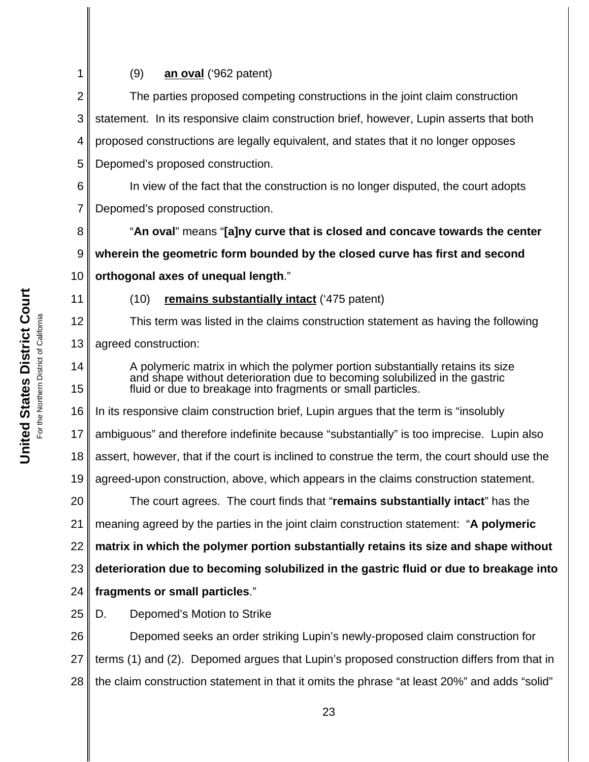1 2 3 4 5 6 7 8 9 10 11 12 13 14 15 16 17 18 19 20 21 22 23 24 25 26 27 28 (9) **an oval** ('962 patent) The parties proposed competing constructions in the joint claim construction statement. In its responsive claim construction brief, however, Lupin asserts that both proposed constructions are legally equivalent, and states that it no longer opposes Depomed's proposed construction. In view of the fact that the construction is no longer disputed, the court adopts Depomed's proposed construction. "**An oval**" means "**[a]ny curve that is closed and concave towards the center wherein the geometric form bounded by the closed curve has first and second orthogonal axes of unequal length**." (10) **remains substantially intact** ('475 patent) This term was listed in the claims construction statement as having the following agreed construction: A polymeric matrix in which the polymer portion substantially retains its size and shape without deterioration due to becoming solubilized in the gastric fluid or due to breakage into fragments or small particles. In its responsive claim construction brief, Lupin argues that the term is "insolubly ambiguous" and therefore indefinite because "substantially" is too imprecise. Lupin also assert, however, that if the court is inclined to construe the term, the court should use the agreed-upon construction, above, which appears in the claims construction statement. The court agrees. The court finds that "**remains substantially intact**" has the meaning agreed by the parties in the joint claim construction statement: "**A polymeric matrix in which the polymer portion substantially retains its size and shape without deterioration due to becoming solubilized in the gastric fluid or due to breakage into fragments or small particles**." D. Depomed's Motion to Strike Depomed seeks an order striking Lupin's newly-proposed claim construction for terms (1) and (2). Depomed argues that Lupin's proposed construction differs from that in the claim construction statement in that it omits the phrase "at least 20%" and adds "solid"